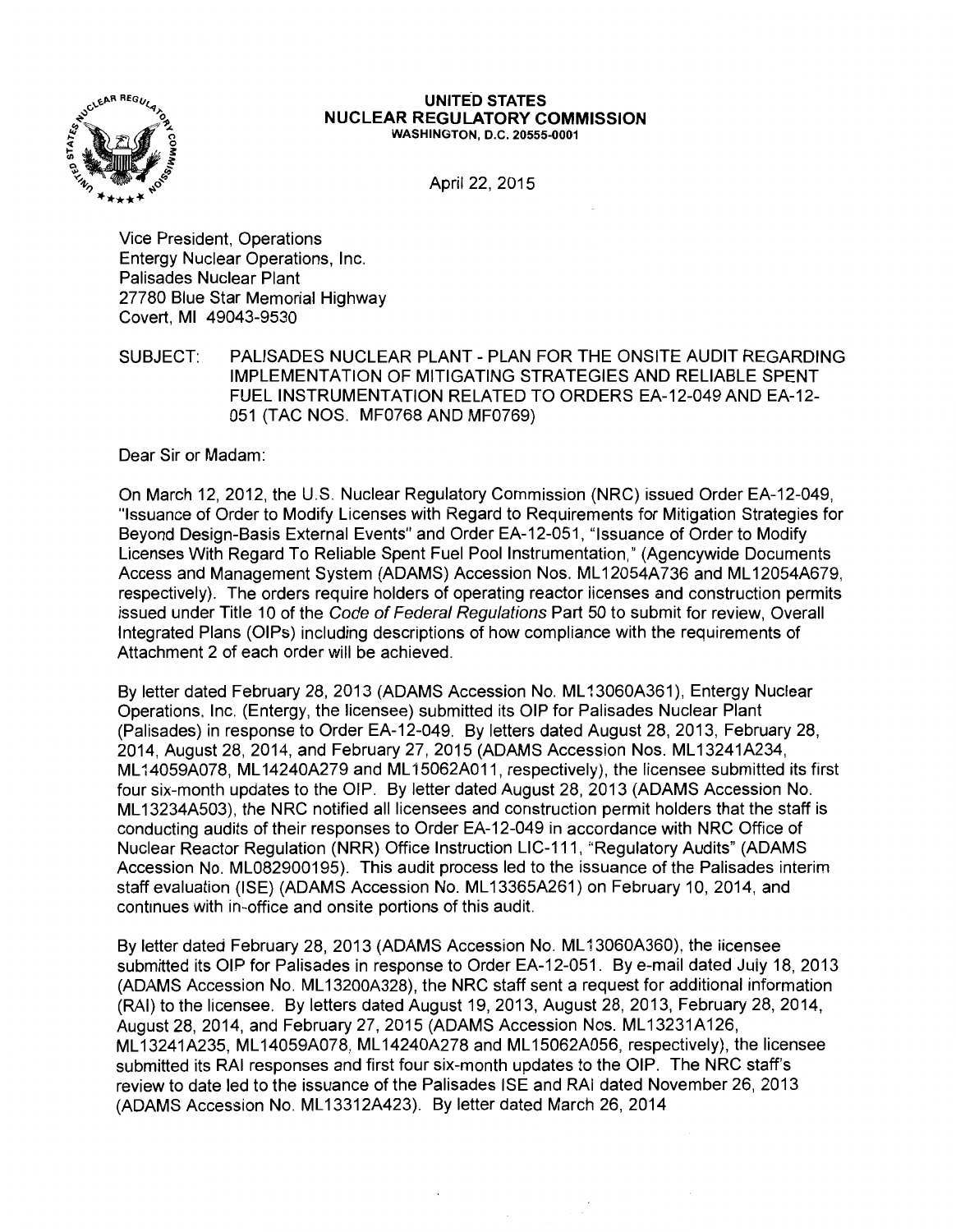

#### **UNITED STATES NUCLEAR REGULATORY COMMISSION**  WASHINGTON, D.C. 20555-0001

April 22, 2015

Vice President, Operations Entergy Nuclear Operations, Inc. Palisades Nuclear Plant 27780 Blue Star Memorial Highway Covert, Ml 49043-9530

SUBJECT: PALISADES NUCLEAR PLANT - PLAN FOR THE ONSITE AUDIT REGARDING IMPLEMENTATION OF MITIGATING STRATEGIES AND RELIABLE SPENT FUEL INSTRUMENTATION RELATED TO ORDERS EA-12-049 AND EA-12- 051 (TAC NOS. MF0768 AND MF0769)

Dear Sir or Madam:

On March 12, 2012, the U.S. Nuclear Regulatory Commission (NRC) issued Order EA-12-049, "Issuance of Order to Modify Licenses with Regard to Requirements for Mitigation Strategies for Beyond Design-Basis External Events" and Order EA-12-051, "Issuance of Order to Modify Licenses With Regard To Reliable Spent Fuel Pool Instrumentation," (Agencywide Documents Access and Management System (ADAMS) Accession Nos. ML 12054A736 and ML 12054A679, respectively). The orders require holders of operating reactor iicenses and construction permits issued under Title 10 of the Code of Federal Regulations Part 50 to submit for review, Overall Integrated Plans (OIPs) including descriptions of how compliance with the requirements of Attachment 2 of each order will be achieved.

By letter dated February 28, 2013 (ADAMS Accession No. ML13060A361), Entergy Nuclear Operations. Inc. (Entergy, the licensee) submitted its OIP for Palisades Nuclear Plant (Palisades) in response to Order EA-12-049. By letters dated August 28, 2013, February 28, 2014, August 28, 2014, and February 27, 2015 (ADAMS Accession Nos. ML 13241A234, ML 14059A078, ML 14240A279 and ML 15062A011, respectively), the licensee submitted its first four six-month updates to the OIP. By letter dated August 28, 2013 (ADAMS Accession No. ML 13234A503), the NRC notified all licensees and construction permit holders that the staff is conducting audits of their responses to Order EA-12-049 in accordance with NRC Office of Nuclear Reactor Regulation (NRR) Office Instruction LIC-111, "Regulatory Audits" (ADAMS Accession No. ML082900195). This audit process led to the issuance of the Palisades interim staff evaluation (ISE) (ADAMS Accession No. ML 13365A261) on February 10, 2014, and continues with in-office and onsite portions of this audit.

By letter dated February 28, 2013 (ADAMS Accession No. ML 13060A360), the licensee submitted its OIP for Palisades in response to Order EA-12-051. By e-mail dated July 18, 2013 (ADAMS Accession No. ML 13200A328), the NRC staff sent a request for additional information (RAI) to the licensee. By letters dated August 19, 2013, August 28, 2013, February 28, 2014, August 28, 2014, and February 27, 2015 (ADAMS Accession Nos. ML13231A126, ML 13241A235, ML 14059A078, ML 14240A278 and ML 15062A056, respectively), the licensee submitted its RAI responses and first four six-month updates to the OIP. The NRC staff's review to date led to the issuance of the Palisades ISE and RAI dated November 26, 2013 (ADAMS Accession No. ML 13312A423). By letter dated March 26, 2014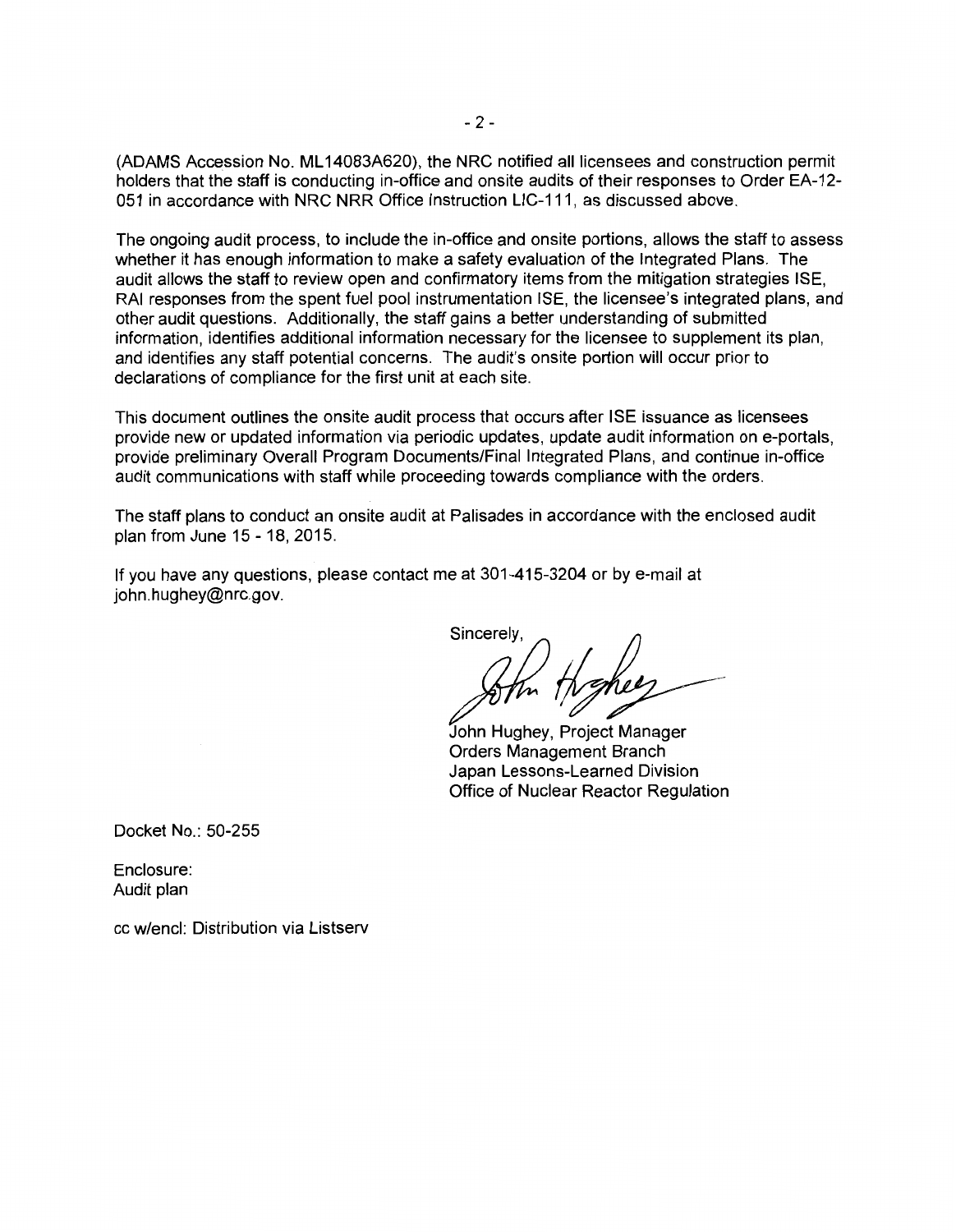(ADAMS Accession No. ML 14083A620), the NRC notified all licensees and construction permit holders that the staff is conducting in-office and onsite audits of their responses to Order EA-12- 051 in accordance with NRC NRR Office Instruction LIC-111, as discussed above.

The ongoing audit process, to include the in-office and onsite portions, allows the staff to assess whether it has enough information to make a safety evaluation of the Integrated Plans. The audit allows the staff to review open and confirmatory items from the mitigation strategies ISE, RAI responses from the spent fuel pool instrumentation ISE, the licensee's integrated plans, and other audit questions. Additionally, the staff gains a better understanding of submitted information, identifies additional information necessary for the licensee to supplement its plan, and identifies any staff potential concerns. The audit's onsite portion will occur prior to declarations of compliance for the first unit at each site.

This document outlines the onsite audit process that occurs after ISE issuance as licensees provide new or updated information via periodic updates, update audit information on e-portals, provide preliminary Overall Program Documents/Final Integrated Plans, and continue in-office audit communications with staff while proceeding towards compliance with the orders.

The staff plans to conduct an onsite audit at Palisades in accordance with the enclosed audit plan from June 15 - 18, 2015.

If you have any questions, please contact me at 301-415-3204 or by e-mail at john.hughey@nrc.gov.

 $\frac{1}{2}$ 

John Hughey, Project Manager Orders Management Branch Japan Lessons-Learned Division Office of Nuclear Reactor Regulation

Docket No.: 50-255

Enclosure: Audit plan

cc w/encl: Distribution via Listserv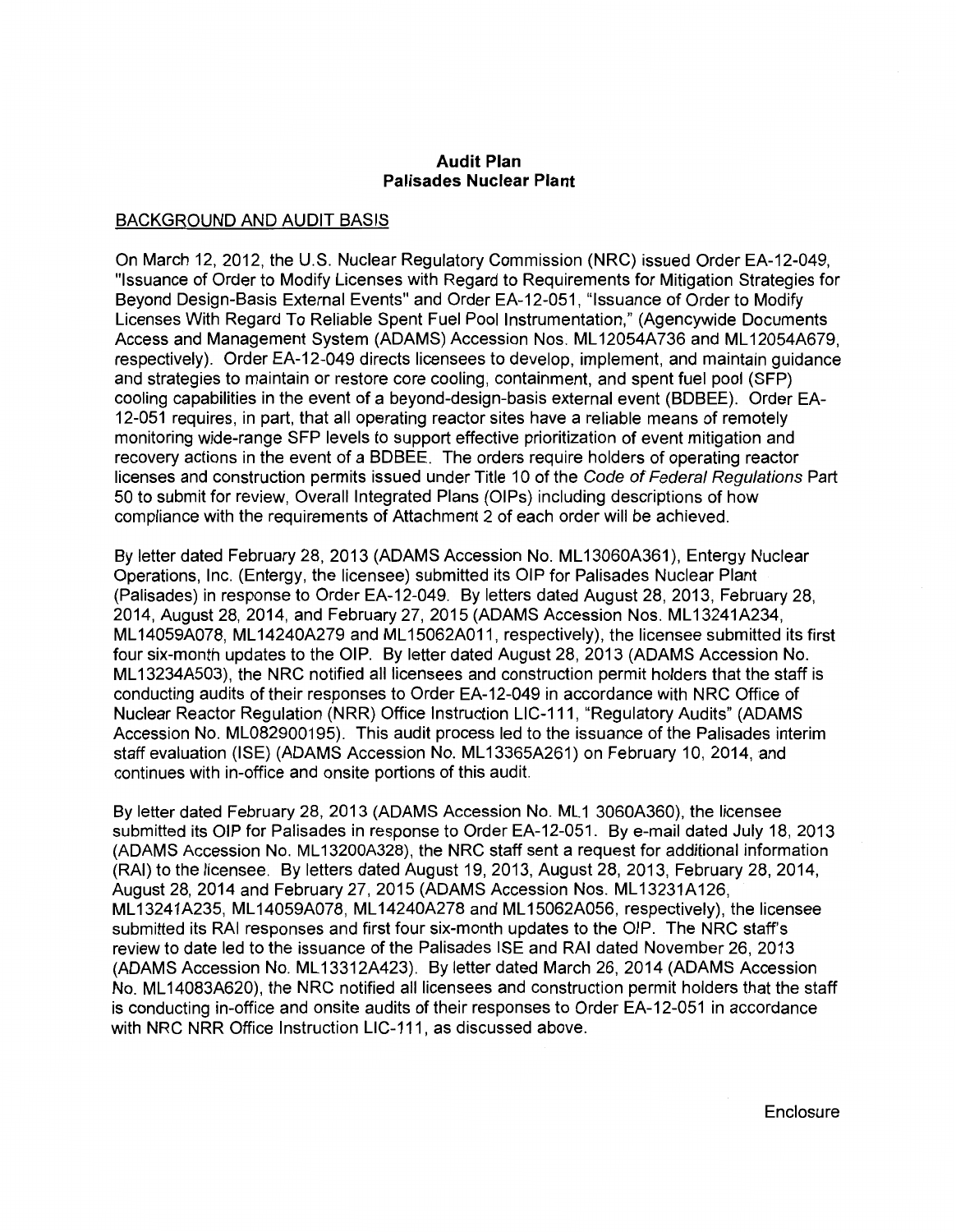#### **Audit Plan Palisades Nuclear Plant**

## BACKGROUND AND AUDIT BASIS

On March 12, 2012, the U.S. Nuclear Regulatory Commission (NRC) issued Order EA-12-049, "Issuance of Order to Modify Licenses with Regard to Requirements for Mitigation Strategies for Beyond Design-Basis External Events" and Order EA-12-051, "Issuance of Order to Modify Licenses With Regard To Reliable Spent Fuel Pool Instrumentation," (Agencywide Documents Access and Management System (ADAMS) Accession Nos. ML 12054A736 and ML 12054A679, respectively). Order EA-12-049 directs licensees to develop, implement, and maintain guidance and strategies to maintain or restore core cooling, containment, and spent fuel pool (SFP) cooling capabilities in the event of a beyond-design-basis external event (BDBEE). Order EA-12-051 requires, in part, that all operating reactor sites have a reliable means of remotely monitoring wide-range SFP levels to support effective prioritization of event mitigation and recovery actions in the event of a BDBEE. The orders require holders of operating reactor licenses and construction permits issued under Title 10 of the Code of Federal Regulations Part 50 to submit for review, Overall Integrated Plans (OIPs) including descriptions of how compliance with the requirements of Attachment 2 of each order will be achieved.

By letter dated February 28, 2013 (ADAMS Accession No. ML13060A361), Entergy Nuclear Operations, Inc. (Entergy, the licensee) submitted its OIP for Palisades Nuclear Plant (Palisades) in response to Order EA-12-049. By letters dated August 28, 2013, February 28, 2014, August 28, 2014, and February 27, 2015 (ADAMS Accession Nos. ML 13241A234, ML 14059A078, ML 14240A279 and ML 15062A011, respectively), the licensee submitted its first four six-month updates to the OIP. By letter dated August 28, 2013 (ADAMS Accession No. ML 13234A503), the NRC notified all licensees and construction permit holders that the staff is conducting audits of their responses to Order EA-12-049 in accordance with NRC Office of Nuclear Reactor Regulation (NRR) Office Instruction LIC-111, "Regulatory Audits" (ADAMS Accession No. ML082900195). This audit process led to the issuance of the Palisades interim staff evaluation (ISE) (ADAMS Accession No. ML 13365A261) on February 10, 2014, and continues with in-office and onsite portions of this audit.

By letter dated February 28, 2013 (ADAMS Accession No. ML1 3060A360), the licensee submitted its OIP for Palisades in response to Order EA-12-051. By e-mail dated July 18, 2013 (ADAMS Accession No. ML 13200A328), the NRC staff sent a request for additional information (RAI) to the licensee. By letters dated August 19, 2013, August 28, 2013, February 28, 2014, August 28, 2014 and February 27, 2015 (ADAMS Accession Nos. ML 13231A126, ML 13241A235, ML 14059A078, ML 14240A278 and ML 15062A056, respectively), the licensee submitted its RAI responses and first four six-month updates to the OIP. The NRC staff's review to date led to the issuance of the Palisades ISE and RAI dated November 26, 2013 (ADAMS Accession No. ML 13312A423). By letter dated March 26, 2014 (ADAMS Accession No. ML 14083A620), the NRC notified all licensees and construction permit holders that the staff is conducting in-office and onsite audits of their responses to Order EA-12-051 in accordance with NRC NRR Office Instruction LIC-111, as discussed above.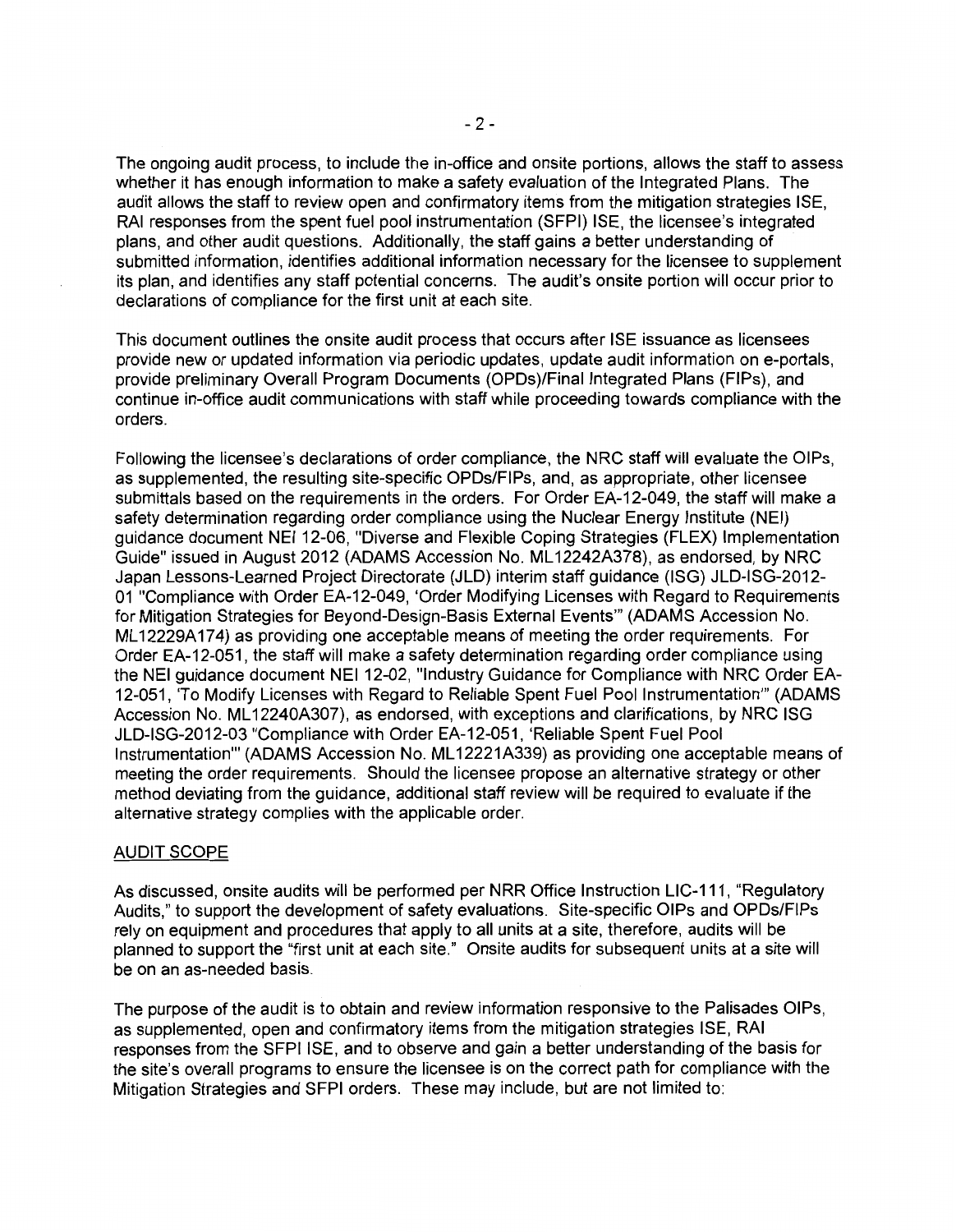The ongoing audit process, to include the in-office and onsite portions, allows the staff to assess whether it has enough information to make a safety evaluation of the Integrated Plans. The audit allows the staff to review open and confirmatory items from the mitigation strategies ISE, RAI responses from the spent fuel pool instrumentation (SFPI) ISE, the licensee's integrated plans, and other audit questions. Additionally, the staff gains a better understanding of submitted information, identifies additional information necessary for the licensee to supplement its plan, and identifies any staff potential concerns. The audit's onsite portion will occur prior to declarations of compliance for the first unit at each site.

This document outlines the onsite audit process that occurs after ISE issuance as licensees provide new or updated information via periodic updates, update audit information on e-portals, provide preliminary Overall Program Documents (OPDs)/Final Integrated Plans (FIPs), and continue in-office audit communications with staff while proceeding towards compliance with the orders.

Following the licensee's declarations of order compliance, the NRC staff will evaluate the OIPs, as supplemented, the resulting site-specific OPDs/FIPs, and, as appropriate, other licensee submittals based on the requirements in the orders. For Order EA-12-049, the staff will make a safety determination regarding order compliance using the Nuclear Energy Institute (NEI) guidance document NEI 12-06, "Diverse and Flexible Coping Strategies (FLEX) Implementation Guide" issued in August 2012 (ADAMS Accession No. ML 12242A378), as endorsed, by NRC Japan Lessons-Learned Project Directorate (JLD) interim staff guidance (ISG) JLD-ISG-2012- 01 "Compliance with Order EA-12-049, 'Order Modifying Licenses with Regard to Requirements for Mitigation Strategies for Beyond-Design-Basis External Events"' (ADAMS Accession No. ML 12229A174) as providing one acceptable means of meeting the order requirements. For Order EA-12-051, the staff will make a safety determination regarding order compliance using the NEI guidance document NEI 12-02, "Industry Guidance for Compliance with NRC Order EA-12-051, 'To Modify Licenses with Regard to Reliable Spent Fuel Pool Instrumentation"' (ADAMS Accession No. ML 12240A307), as endorsed, with exceptions and clarifications, by NRC ISG JLD-ISG-2012-03 "Compliance with Order EA-12-051, 'Reliable Spent Fuel Pool Instrumentation"' (ADAMS Accession No. ML 12221A339) as providing one acceptable means of meeting the order requirements. Should the licensee propose an alternative strategy or other method deviating from the guidance, additional staff review will be required to evaluate if the alternative strategy complies with the applicable order.

## AUDIT SCOPE

As discussed, onsite audits will be performed per NRR Office Instruction LIC-111, "Regulatory Audits," to support the development of safety evaluations. Site-specific OIPs and OPDs/FIPs rely on equipment and procedures that apply to all units at a site, therefore, audits will be planned to support the "first unit at each site." Onsite audits for subsequent units at a site will be on an as-needed basis.

The purpose of the audit is to obtain and review information responsive to the Palisades OIPs, as supplemented, open and confirmatory items from the mitigation strategies ISE, RAI responses from the SFPI ISE, and to observe and gain a better understanding of the basis for the site's overall programs to ensure the licensee is on the correct path for compliance with the Mitigation Strategies and SFPI orders. These may include, but are not limited to: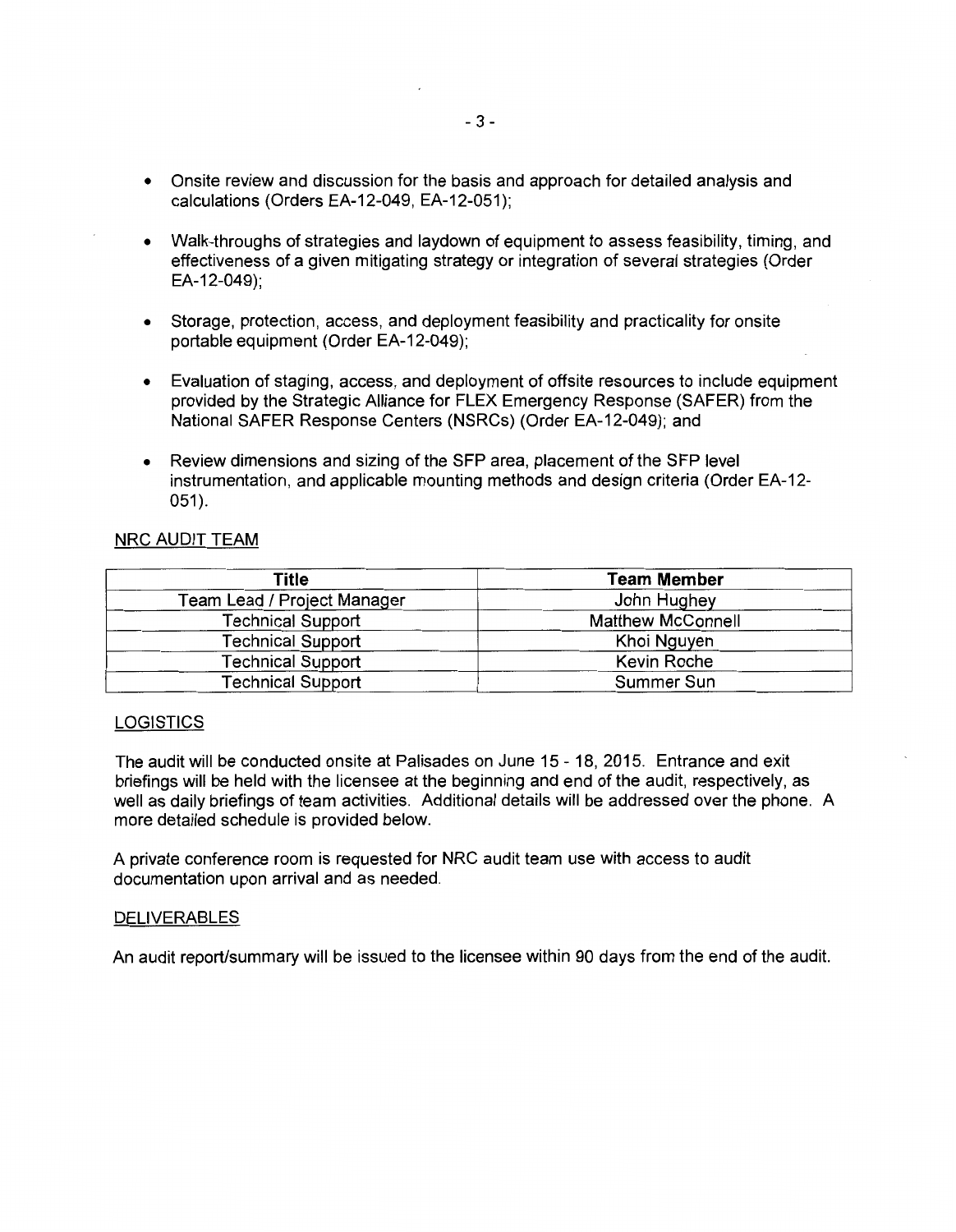- Onsite review and discussion for the basis and approach for detailed analysis and calculations (Orders EA-12-049, EA-12-051);
- Walk-throughs of strategies and laydown of equipment to assess feasibility, timing, and effectiveness of a given mitigating strategy or integration of several strategies (Order EA-12-049);
- Storage, protection, access, and deployment feasibility and practicality for onsite portable equipment (Order EA-12-049);
- Evaluation of staging, access, and deployment of offsite resources to include equipment provided by the Strategic Alliance for FLEX Emergency Response (SAFER) from the National SAFER Response Centers (NSRCs) (Order EA-12-049); and
- Review dimensions and sizing of the SFP area, placement of the SFP level instrumentation, and applicable mounting methods and design criteria (Order EA-12-  $051$ ).

## NRC AUDIT TEAM

| Title                                  | <b>Team Member</b>       |  |
|----------------------------------------|--------------------------|--|
| Team Lead / Project Manager            | John Hughey              |  |
| <b>Technical Support</b>               | <b>Matthew McConnell</b> |  |
| <b>Technical Support</b>               | Khoi Nguyen              |  |
| <b>Technical Support</b>               | Kevin Roche              |  |
| Summer Sun<br><b>Technical Support</b> |                          |  |

#### **LOGISTICS**

The audit will be conducted onsite at Palisades on June 15 - 18, 2015. Entrance and exit briefings will be held with the licensee at the beginning and end of the audit, respectively, as well as daily briefings of team activities. Additional details will be addressed over the phone. A more detailed schedule is provided below.

A private conference room is requested for NRC audit team use with access to audit documentation upon arrival and as needed.

## **DELIVERABLES**

An audit report/summary will be issued to the licensee within 90 days from the end of the audit.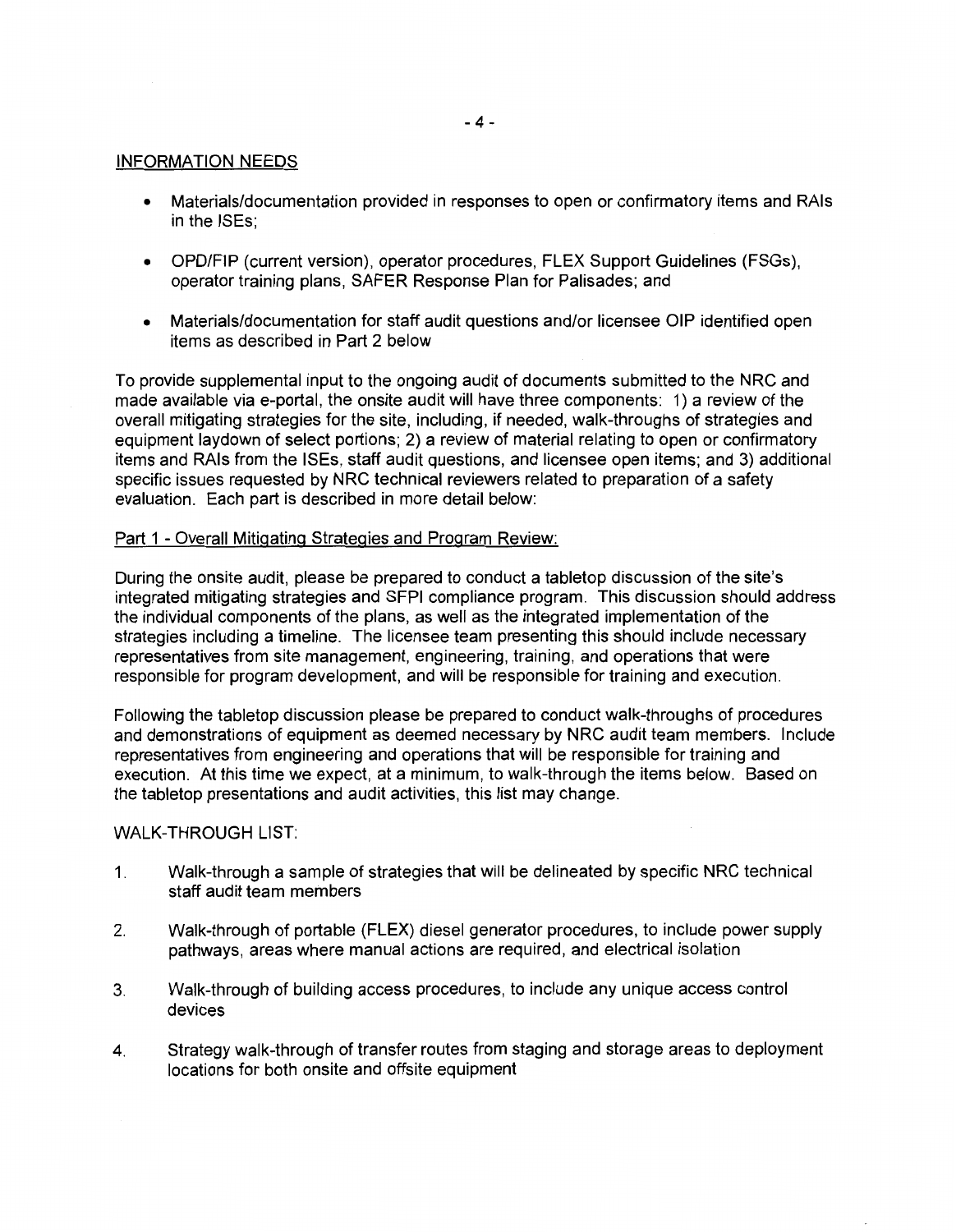### INFORMATION NEEDS

- Materials/documentation provided in responses to open or confirmatory items and RAls in the ISEs;
- OPD/FIP (current version), operator procedures, FLEX Support Guidelines (FSGs), operator training plans, SAFER Response Plan for Palisades; and
- Materials/documentation for staff audit questions and/or licensee OIP identified open items as described in Part 2 below

To provide supplemental input to the ongoing audit of documents submitted to the NRC and made available via e-portal, the onsite audit will have three components: 1) a review of the overall mitigating strategies for the site, including, if needed, walk-throughs of strategies and equipment laydown of select portions; 2) a review of material relating to open or confirmatory items and RAls from the ISEs, staff audit questions, and licensee open items; and 3) additional specific issues requested by NRC technical reviewers related to preparation of a safety evaluation. Each part is described in more detail below:

## Part 1 - Overall Mitigating Strategies and Program Review:

During the onsite audit, please be prepared to conduct a tabletop discussion of the site's integrated mitigating strategies and SFPI compliance program. This discussion should address the individual components of the plans, as well as the integrated implementation of the strategies including a timeline. The licensee team presenting this should include necessary representatives from site management, engineering, training, and operations that were responsible for program development, and will be responsible for training and execution.

Following the tabletop discussion please be prepared to conduct walk-throughs of procedures and demonstrations of equipment as deemed necessary by NRC audit team members. Include representatives from engineering and operations that will be responsible for training and execution. At this time we expect, at a minimum, to walk-through the items below. Based on the tabletop presentations and audit activities, this list may change.

### WALK-THROUGH LIST:

- 1. Walk-through a sample of strategies that will be delineated by specific NRC technical staff audit team members
- 2. Walk-through of portable (FLEX) diesel generator procedures, to include power supply pathways, areas where manual actions are required, and electrical isolation
- 3. Walk-through of building access procedures, to include any unique access control devices
- 4. Strategy walk-through of transfer routes from staging and storage areas to deployment locations for both onsite and offsite equipment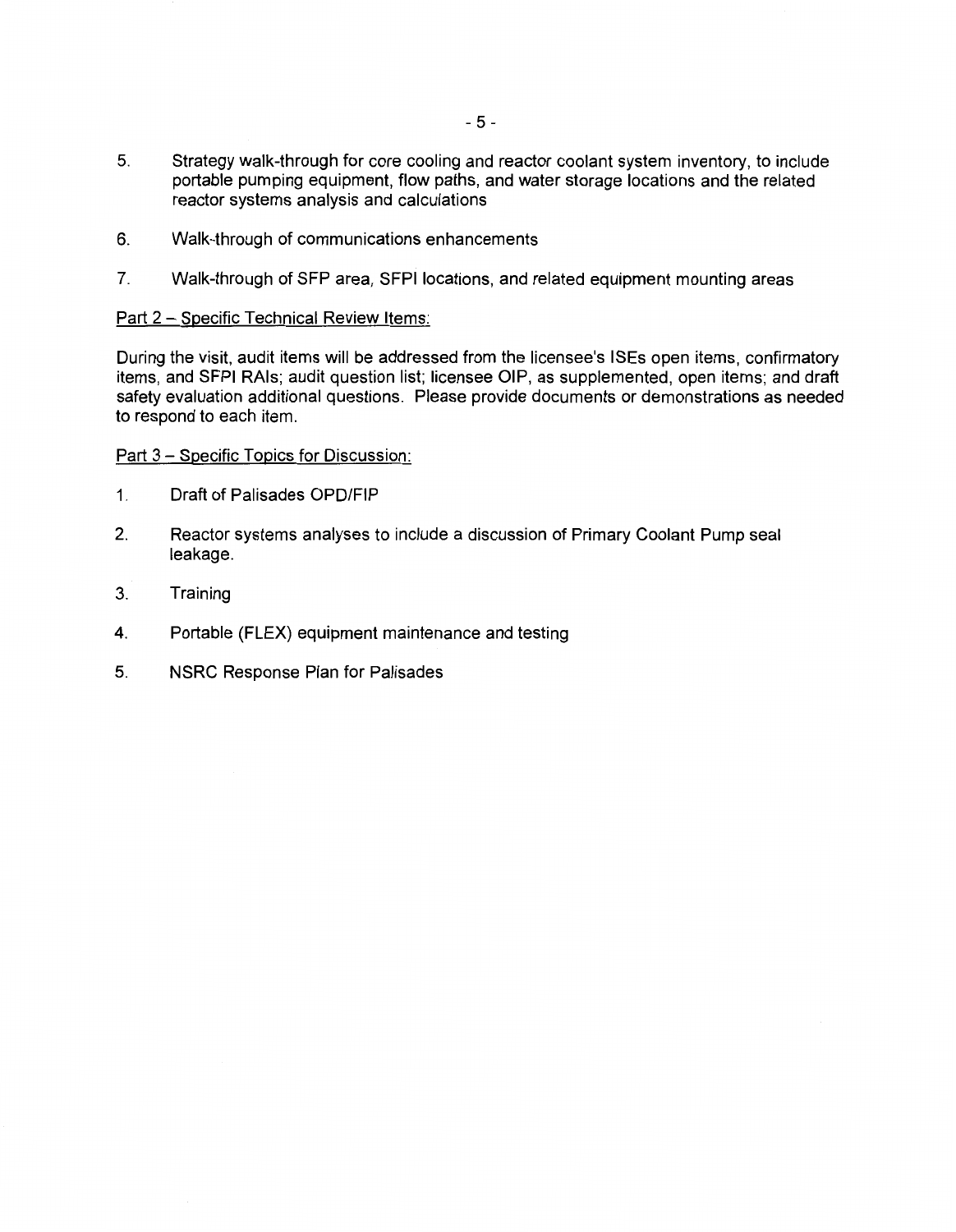- 5. Strategy walk-through for core cooling and reactor coolant system inventory, to include portable pumping equipment, flow paths, and water storage locations and the related reactor systems analysis and calculations
- 6. Walk-through of communications enhancements
- 7. Walk-through of SFP area, SFPI locations, and related equipment mounting areas

## Part 2 - Specific Technical Review Items:

During the visit, audit items will be addressed from the licensee's ISEs open items, confirmatory items, and SFPI RAls; audit question list; licensee OIP, as supplemented, open items; and draft safety evaluation additional questions. Please provide documents or demonstrations as needed to respond to each item.

Part 3 - Specific Topics for Discussion:

- 1. Draft of Palisades OPD/FIP
- 2. Reactor systems analyses to include a discussion of Primary Coolant Pump seal leakage.
- 3. Training
- 4. Portable (FLEX) equipment maintenance and testing
- 5. NSRC Response Plan for Palisades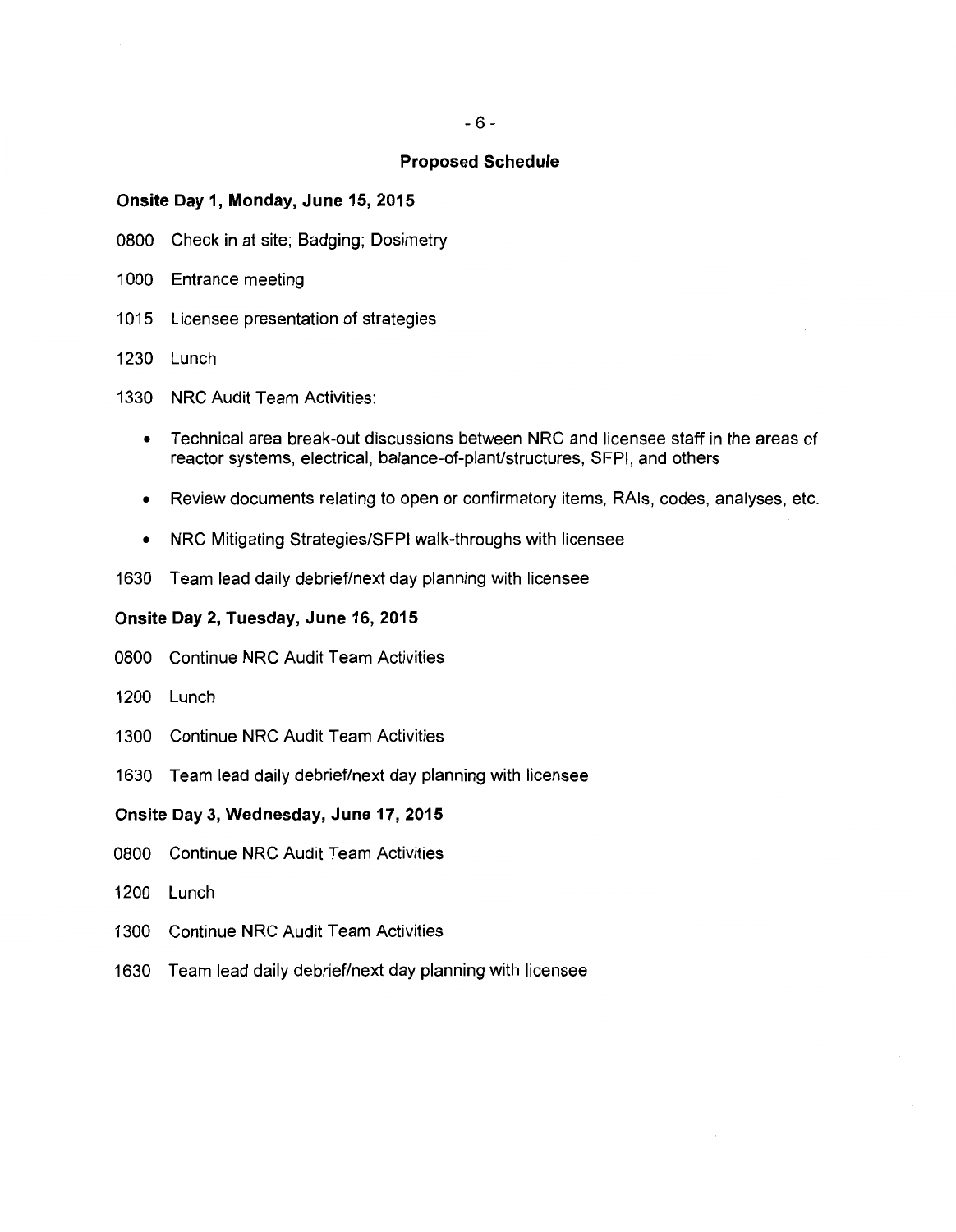#### **Proposed Schedule**

#### **Onsite Day 1, Monday, June 15, 2015**

- 0800 Check in at site; Badging; Dosimetry
- 1000 Entrance meeting
- 1015 Licensee presentation of strategies
- 1230 Lunch
- 1330 NRC Audit Team Activities:
	- Technical area break-out discussions between NRC and licensee staff in the areas of reactor systems, electrical, balance-of-plant/structures, SFPI, and others
	- Review documents relating to open or confirmatory items, RAls, codes, analyses, etc.
	- NRC Mitigating Strategies/SFPI walk-throughs with licensee
- 1630 Team lead daily debrief/next day planning with licensee

#### **Onsite Day 2, Tuesday, June 16, 2015**

- 0800 Continue NRC Audit Team Activities
- 1200 Lunch
- 1300 Continue NRC Audit Team Activities
- 1630 Team lead daily debrief/next day planning with licensee

### **Onsite Day 3, Wednesday, June 17, 2015**

- 0800 Continue NRC Audit Team Activities
- 1200 Lunch
- 1300 Continue NRC Audit Team Activities
- 1630 Team lead daily debrief/next day planning with licensee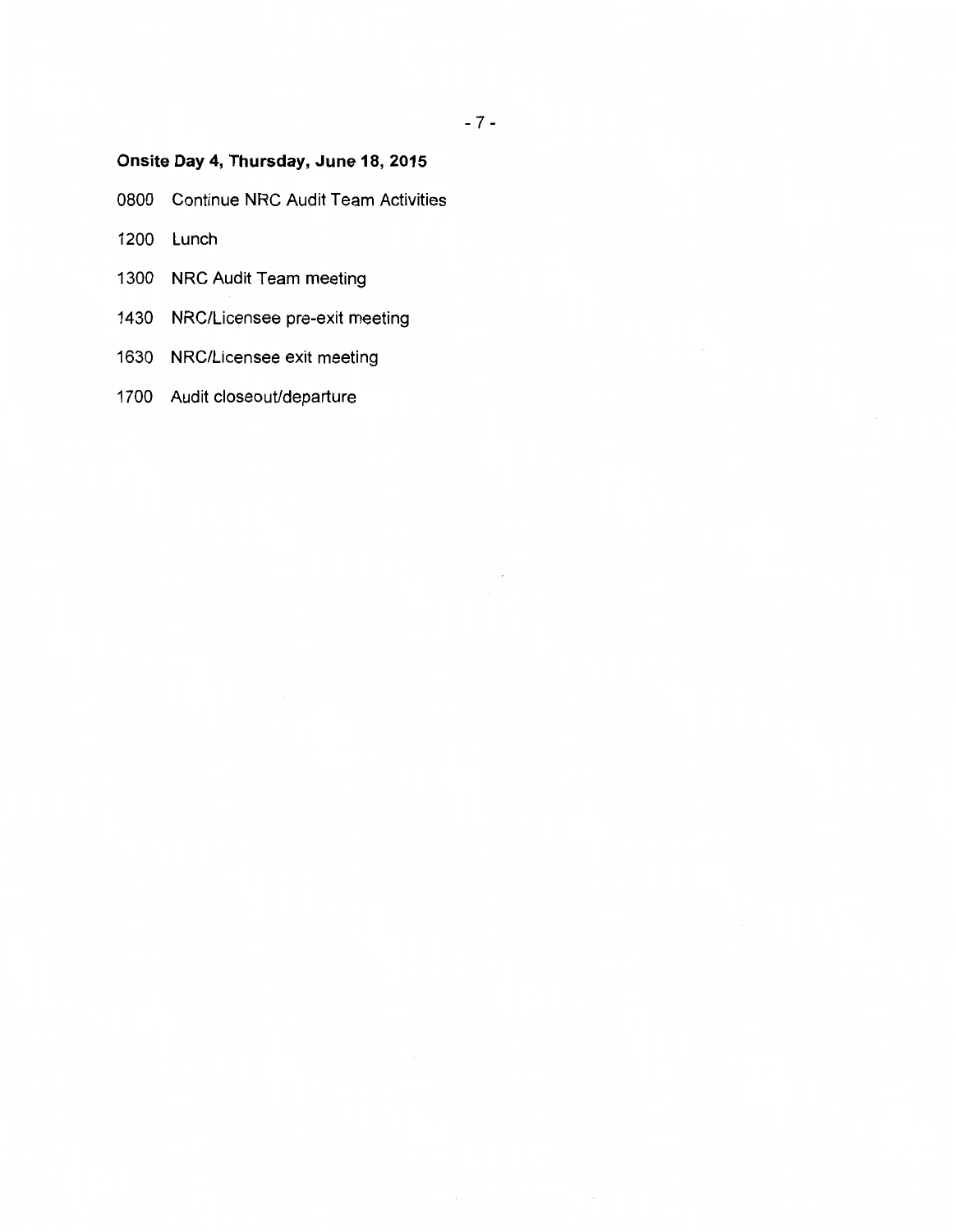# - 7 -

# **Onsite Day 4, Thursday, June 18, 2015**

0800 Continue NRC Audit Team Activities

- 1200 Lunch
- 1300 NRC Audit Team meeting
- 1430 NRG/Licensee pre-exit meeting
- 1630 NRG/Licensee exit meeting
- 1700 Audit closeout/departure